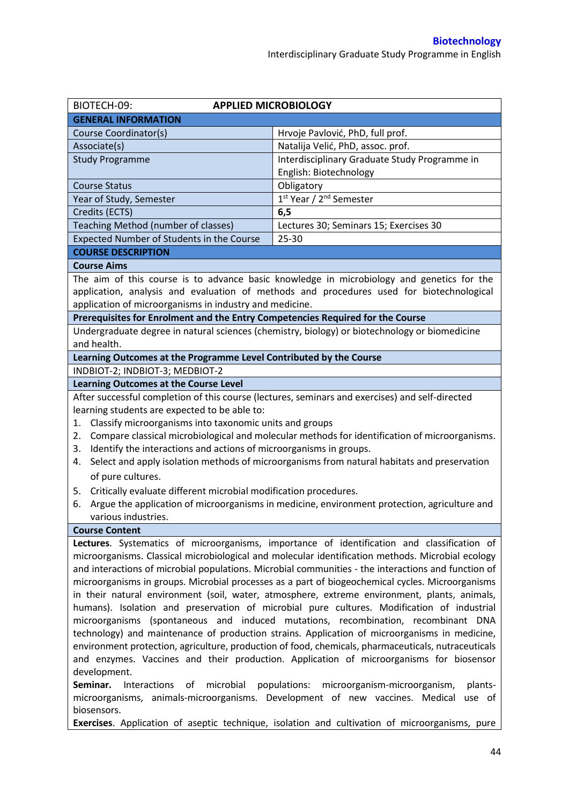| BIOTECH-09:<br><b>APPLIED MICROBIOLOGY</b>                                                             |                                                                                                     |  |  |  |
|--------------------------------------------------------------------------------------------------------|-----------------------------------------------------------------------------------------------------|--|--|--|
| <b>GENERAL INFORMATION</b>                                                                             |                                                                                                     |  |  |  |
| Course Coordinator(s)                                                                                  | Hrvoje Pavlović, PhD, full prof.                                                                    |  |  |  |
| Associate(s)                                                                                           | Natalija Velić, PhD, assoc. prof.                                                                   |  |  |  |
| <b>Study Programme</b>                                                                                 | Interdisciplinary Graduate Study Programme in                                                       |  |  |  |
|                                                                                                        | English: Biotechnology                                                                              |  |  |  |
| <b>Course Status</b>                                                                                   | Obligatory                                                                                          |  |  |  |
| Year of Study, Semester                                                                                | 1 <sup>st</sup> Year / 2 <sup>nd</sup> Semester                                                     |  |  |  |
| Credits (ECTS)                                                                                         | 6, 5                                                                                                |  |  |  |
| Teaching Method (number of classes)                                                                    | Lectures 30; Seminars 15; Exercises 30                                                              |  |  |  |
| Expected Number of Students in the Course                                                              | 25-30                                                                                               |  |  |  |
| <b>COURSE DESCRIPTION</b>                                                                              |                                                                                                     |  |  |  |
| <b>Course Aims</b>                                                                                     |                                                                                                     |  |  |  |
|                                                                                                        | The aim of this course is to advance basic knowledge in microbiology and genetics for the           |  |  |  |
|                                                                                                        | application, analysis and evaluation of methods and procedures used for biotechnological            |  |  |  |
| application of microorganisms in industry and medicine.                                                |                                                                                                     |  |  |  |
| Prerequisites for Enrolment and the Entry Competencies Required for the Course                         |                                                                                                     |  |  |  |
|                                                                                                        | Undergraduate degree in natural sciences (chemistry, biology) or biotechnology or biomedicine       |  |  |  |
| and health.                                                                                            |                                                                                                     |  |  |  |
| Learning Outcomes at the Programme Level Contributed by the Course                                     |                                                                                                     |  |  |  |
| INDBIOT-2; INDBIOT-3; MEDBIOT-2                                                                        |                                                                                                     |  |  |  |
| <b>Learning Outcomes at the Course Level</b>                                                           |                                                                                                     |  |  |  |
|                                                                                                        | After successful completion of this course (lectures, seminars and exercises) and self-directed     |  |  |  |
| learning students are expected to be able to:                                                          |                                                                                                     |  |  |  |
| Classify microorganisms into taxonomic units and groups<br>1.                                          |                                                                                                     |  |  |  |
| 2.                                                                                                     | Compare classical microbiological and molecular methods for identification of microorganisms.       |  |  |  |
| Identify the interactions and actions of microorganisms in groups.<br>3.                               |                                                                                                     |  |  |  |
| 4.                                                                                                     | Select and apply isolation methods of microorganisms from natural habitats and preservation         |  |  |  |
| of pure cultures.                                                                                      |                                                                                                     |  |  |  |
| Critically evaluate different microbial modification procedures.<br>5.                                 |                                                                                                     |  |  |  |
| Argue the application of microorganisms in medicine, environment protection, agriculture and<br>6.     |                                                                                                     |  |  |  |
| various industries.                                                                                    |                                                                                                     |  |  |  |
| <b>Course Content</b>                                                                                  |                                                                                                     |  |  |  |
|                                                                                                        | Lectures. Systematics of microorganisms, importance of identification and classification of         |  |  |  |
| microorganisms. Classical microbiological and molecular identification methods. Microbial ecology      |                                                                                                     |  |  |  |
| and interactions of microbial populations. Microbial communities - the interactions and function of    |                                                                                                     |  |  |  |
| microorganisms in groups. Microbial processes as a part of biogeochemical cycles. Microorganisms       |                                                                                                     |  |  |  |
| in their natural environment (soil, water, atmosphere, extreme environment, plants, animals,           |                                                                                                     |  |  |  |
| humans). Isolation and preservation of microbial pure cultures. Modification of industrial             |                                                                                                     |  |  |  |
| microorganisms (spontaneous and induced mutations, recombination, recombinant DNA                      |                                                                                                     |  |  |  |
| technology) and maintenance of production strains. Application of microorganisms in medicine,          |                                                                                                     |  |  |  |
|                                                                                                        | environment protection, agriculture, production of food, chemicals, pharmaceuticals, nutraceuticals |  |  |  |
| and enzymes. Vaccines and their production. Application of microorganisms for biosensor                |                                                                                                     |  |  |  |
| development.                                                                                           |                                                                                                     |  |  |  |
| Seminar.<br>Interactions<br>microbial<br>of<br>populations:<br>microorganism-microorganism,<br>plants- |                                                                                                     |  |  |  |
| microorganisms, animals-microorganisms. Development of new vaccines. Medical<br>biosensors.            | use of                                                                                              |  |  |  |

**Exercises**. Application of aseptic technique, isolation and cultivation of microorganisms, pure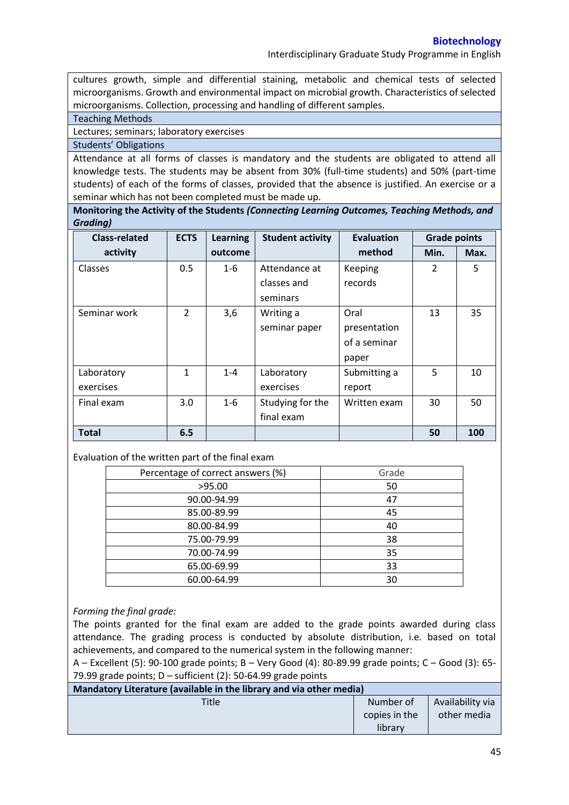Interdisciplinary Graduate Study Programme in English

cultures growth, simple and differential staining, metabolic and chemical tests of selected microorganisms. Growth and environmental impact on microbial growth. Characteristics of selected microorganisms. Collection, processing and handling of different samples.

Teaching Methods

Lectures; seminars; laboratory exercises

Students' Obligations

Attendance at all forms of classes is mandatory and the students are obligated to attend all knowledge tests. The students may be absent from 30% (full-time students) and 50% (part-time students) of each of the forms of classes, provided that the absence is justified. An exercise or a seminar which has not been completed must be made up.

**Monitoring the Activity of the Students** *(Connecting Learning Outcomes, Teaching Methods, and Grading)*

| <b>Class-related</b> | <b>ECTS</b>   | <b>Learning</b> | <b>Student activity</b> | <b>Evaluation</b> | <b>Grade points</b> |      |
|----------------------|---------------|-----------------|-------------------------|-------------------|---------------------|------|
| activity             |               | outcome         |                         | method            | Min.                | Max. |
| <b>Classes</b>       | 0.5           | $1 - 6$         | Attendance at           | Keeping           | $\overline{2}$      | 5    |
|                      |               |                 | classes and             | records           |                     |      |
|                      |               |                 | seminars                |                   |                     |      |
| Seminar work         | $\mathcal{P}$ | 3,6             | Writing a               | Oral              | 13                  | 35   |
|                      |               |                 | seminar paper           | presentation      |                     |      |
|                      |               |                 |                         | of a seminar      |                     |      |
|                      |               |                 |                         | paper             |                     |      |
| Laboratory           | 1             | $1 - 4$         | Laboratory              | Submitting a      | 5                   | 10   |
| exercises            |               |                 | exercises               | report            |                     |      |
| Final exam           | 3.0           | $1 - 6$         | Studying for the        | Written exam      | 30                  | 50   |
|                      |               |                 | final exam              |                   |                     |      |
| <b>Total</b>         | 6.5           |                 |                         |                   | 50                  | 100  |

## Evaluation of the written part of the final exam

| Percentage of correct answers (%) | Grade |
|-----------------------------------|-------|
| >95.00                            | 50    |
| 90.00-94.99                       | 47    |
| 85.00-89.99                       | 45    |
| 80.00-84.99                       | 40    |
| 75.00-79.99                       | 38    |
| 70.00-74.99                       | 35    |
| 65.00-69.99                       | 33    |
| 60.00-64.99                       | 30    |

## *Forming the final grade:*

The points granted for the final exam are added to the grade points awarded during class attendance. The grading process is conducted by absolute distribution, i.e. based on total achievements, and compared to the numerical system in the following manner:

A – Excellent (5): 90-100 grade points; B – Very Good (4): 80-89.99 grade points; C – Good (3): 65- 79.99 grade points;  $D$  – sufficient (2): 50-64.99 grade points

| Mandatory Literature (available in the library and via other media) |                          |                  |  |  |
|---------------------------------------------------------------------|--------------------------|------------------|--|--|
| Title                                                               | Number of                | Availability via |  |  |
|                                                                     | copies in the<br>library | other media      |  |  |